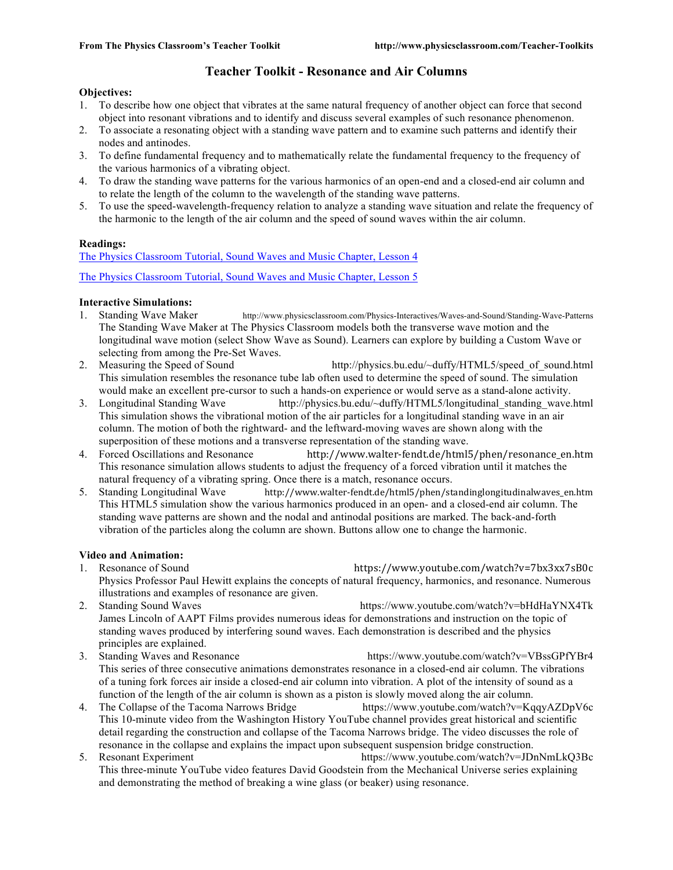# **Teacher Toolkit - Resonance and Air Columns**

# **Objectives:**

- 1. To describe how one object that vibrates at the same natural frequency of another object can force that second object into resonant vibrations and to identify and discuss several examples of such resonance phenomenon.
- 2. To associate a resonating object with a standing wave pattern and to examine such patterns and identify their nodes and antinodes.
- 3. To define fundamental frequency and to mathematically relate the fundamental frequency to the frequency of the various harmonics of a vibrating object.
- 4. To draw the standing wave patterns for the various harmonics of an open-end and a closed-end air column and to relate the length of the column to the wavelength of the standing wave patterns.
- 5. To use the speed-wavelength-frequency relation to analyze a standing wave situation and relate the frequency of the harmonic to the length of the air column and the speed of sound waves within the air column.

# **Readings:**

The Physics Classroom Tutorial, Sound Waves and Music Chapter, Lesson 4

The Physics Classroom Tutorial, Sound Waves and Music Chapter, Lesson 5

# **Interactive Simulations:**

- 1. Standing Wave Maker http://www.physicsclassroom.com/Physics-Interactives/Waves-and-Sound/Standing-Wave-Patterns The Standing Wave Maker at The Physics Classroom models both the transverse wave motion and the longitudinal wave motion (select Show Wave as Sound). Learners can explore by building a Custom Wave or selecting from among the Pre-Set Waves.
- 2. Measuring the Speed of Sound http://physics.bu.edu/~duffy/HTML5/speed\_of\_sound.html This simulation resembles the resonance tube lab often used to determine the speed of sound. The simulation would make an excellent pre-cursor to such a hands-on experience or would serve as a stand-alone activity.
- 3. Longitudinal Standing Wave http://physics.bu.edu/~duffy/HTML5/longitudinal\_standing\_wave.html This simulation shows the vibrational motion of the air particles for a longitudinal standing wave in an air column. The motion of both the rightward- and the leftward-moving waves are shown along with the superposition of these motions and a transverse representation of the standing wave.
- 4. Forced Oscillations and Resonance http://www.walter-fendt.de/html5/phen/resonance\_en.htm This resonance simulation allows students to adjust the frequency of a forced vibration until it matches the natural frequency of a vibrating spring. Once there is a match, resonance occurs.
- 5. Standing Longitudinal Wave http://www.walter-fendt.de/html5/phen/standinglongitudinalwaves\_en.htm This HTML5 simulation show the various harmonics produced in an open- and a closed-end air column. The standing wave patterns are shown and the nodal and antinodal positions are marked. The back-and-forth vibration of the particles along the column are shown. Buttons allow one to change the harmonic.

# **Video and Animation:**

- 1. Resonance of Sound https://www.youtube.com/watch?v=7bx3xx7sB0c Physics Professor Paul Hewitt explains the concepts of natural frequency, harmonics, and resonance. Numerous illustrations and examples of resonance are given.
- 2. Standing Sound Waves https://www.youtube.com/watch?v=bHdHaYNX4Tk James Lincoln of AAPT Films provides numerous ideas for demonstrations and instruction on the topic of standing waves produced by interfering sound waves. Each demonstration is described and the physics principles are explained.
- 3. Standing Waves and Resonance https://www.youtube.com/watch?v=VBssGPfYBr4 This series of three consecutive animations demonstrates resonance in a closed-end air column. The vibrations of a tuning fork forces air inside a closed-end air column into vibration. A plot of the intensity of sound as a function of the length of the air column is shown as a piston is slowly moved along the air column.
- 4. The Collapse of the Tacoma Narrows Bridge https://www.youtube.com/watch?v=KqqyAZDpV6c This 10-minute video from the Washington History YouTube channel provides great historical and scientific detail regarding the construction and collapse of the Tacoma Narrows bridge. The video discusses the role of resonance in the collapse and explains the impact upon subsequent suspension bridge construction.
- 5. Resonant Experiment https://www.youtube.com/watch?v=JDnNmLkQ3Bc This three-minute YouTube video features David Goodstein from the Mechanical Universe series explaining and demonstrating the method of breaking a wine glass (or beaker) using resonance.